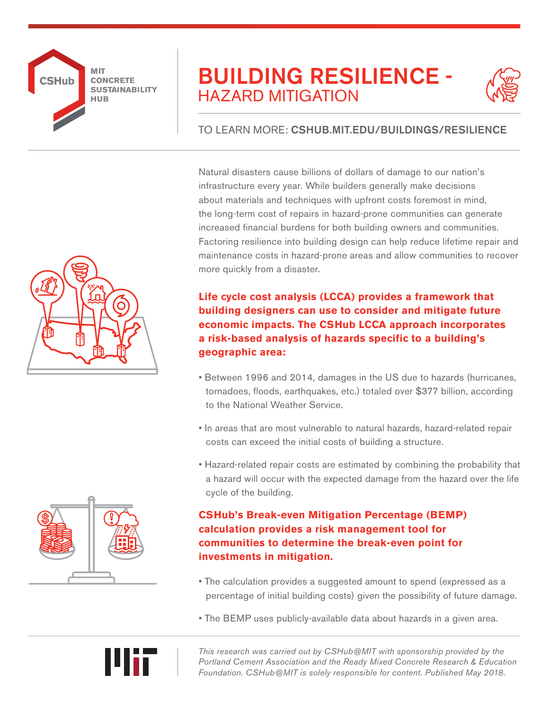

# BUILDING RESILIENCE - HAZARD MITIGATION



## TO LEARN MORE: CSHUB.MIT.EDU/BUILDINGS/RESILIENCE

Natural disasters cause billions of dollars of damage to our nation's infrastructure every year. While builders generally make decisions about materials and techniques with upfront costs foremost in mind, the long-term cost of repairs in hazard-prone communities can generate increased financial burdens for both building owners and communities. Factoring resilience into building design can help reduce lifetime repair and maintenance costs in hazard-prone areas and allow communities to recover more quickly from a disaster.

**Life cycle cost analysis (LCCA) provides a framework that building designers can use to consider and mitigate future economic impacts. The CSHub LCCA approach incorporates a risk-based analysis of hazards specific to a building's geographic area:** 

- Between 1996 and 2014, damages in the US due to hazards (hurricanes, tornadoes, floods, earthquakes, etc.) totaled over \$377 billion, according to the National Weather Service.
- In areas that are most vulnerable to natural hazards, hazard-related repair costs can exceed the initial costs of building a structure.
- Hazard-related repair costs are estimated by combining the probability that a hazard will occur with the expected damage from the hazard over the life cycle of the building.

### **CSHub's Break-even Mitigation Percentage (BEMP) calculation provides a risk management tool for communities to determine the break-even point for investments in mitigation.**

- The calculation provides a suggested amount to spend (expressed as a percentage of initial building costs) given the possibility of future damage.
- The BEMP uses publicly-available data about hazards in a given area.

*This research was carried out by CSHub@MIT with sponsorship provided by the Portland Cement Association and the Ready Mixed Concrete Research & Education Foundation. CSHub@MIT is solely responsible for content. Published May 2018.*